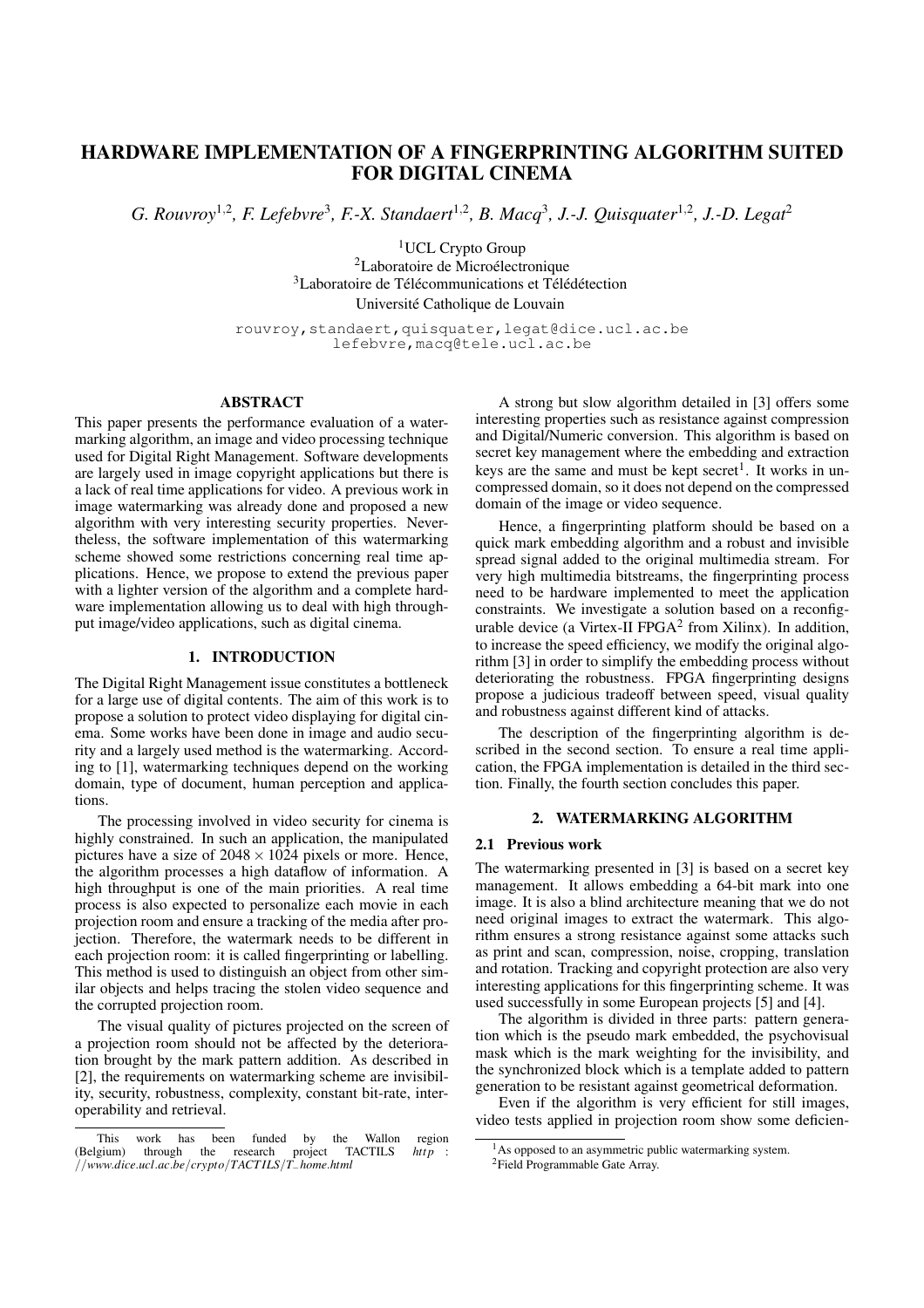# **HARDWARE IMPLEMENTATION OF A FINGERPRINTING ALGORITHM SUITED FOR DIGITAL CINEMA**

*G. Rouvroy*<sup>1</sup>,<sup>2</sup> *, F. Lefebvre* 3 *, F.-X. Standaert*<sup>1</sup>,<sup>2</sup> *, B. Macq*<sup>3</sup> *, J.-J. Quisquater*<sup>1</sup>,<sup>2</sup> *, J.-D. Legat*<sup>2</sup>

<sup>1</sup>UCL Crypto Group <sup>2</sup>Laboratoire de Microélectronique  $3L$ aboratoire de Télé communications et Télé détection Université Catholique de Louvain

rouvroy,standaert,quisquater,legat@dice.ucl.ac.be lefebvre,macq@tele.ucl.ac.be

# **ABSTRACT**

This paper presents the performance evaluation of a watermarking algorithm, an image and video processing technique used for Digital Right Management. Software developments are largely used in image copyright applications but there is a lack of real time applications for video. A previous work in image watermarking was already done and proposed a new algorithm with very interesting security properties. Nevertheless, the software implementation of this watermarking scheme showed some restrictions concerning real time applications. Hence, we propose to extend the previous paper with a lighter version of the algorithm and a complete hardware implementation allowing us to deal with high throughput image/video applications, such as digital cinema.

# **1. INTRODUCTION**

The Digital Right Management issue constitutes a bottleneck for a large use of digital contents. The aim of this work is to propose a solution to protect video displaying for digital cinema. Some works have been done in image and audio security and a largely used method is the watermarking. According to [1], watermarking techniques depend on the working domain, type of document, human perception and applications.

The processing involved in video security for cinema is highly constrained. In such an application, the manipulated pictures have a size of  $2048 \times 1024$  pixels or more. Hence, the algorithm processes a high dataflow of information. A high throughput is one of the main priorities. A real time process is also expected to personalize each movie in each projection room and ensure a tracking of the media after projection. Therefore, the watermark needs to be different in each projection room: it is called fingerprinting or labelling. This method is used to distinguish an object from other similar objects and helps tracing the stolen video sequence and the corrupted projection room.

The visual quality of pictures projected on the screen of a projection room should not be affected by the deterioration brought by the mark pattern addition. As described in [2], the requirements on watermarking scheme are invisibility, security, robustness, complexity, constant bit-rate, interoperability and retrieval.

A strong but slow algorithm detailed in [3] offers some interesting properties such as resistance against compression and Digital/Numeric conversion. This algorithm is based on secret key management where the embedding and extraction keys are the same and must be kept secret<sup>1</sup>. It works in uncompressed domain, so it does not depend on the compressed domain of the image or video sequence.

Hence, a fingerprinting platform should be based on a quick mark embedding algorithm and a robust and invisible spread signal added to the original multimedia stream. For very high multimedia bitstreams, the fingerprinting process need to be hardware implemented to meet the application constraints. We investigate a solution based on a reconfigurable device (a Virtex-II FPGA $2$  from Xilinx). In addition, to increase the speed efficiency, we modify the original algorithm [3] in order to simplify the embedding process without deteriorating the robustness. FPGA fingerprinting designs propose a judicious tradeoff between speed, visual quality and robustness against different kind of attacks.

The description of the fingerprinting algorithm is described in the second section. To ensure a real time application, the FPGA implementation is detailed in the third section. Finally, the fourth section concludes this paper.

# **2. WATERMARKING ALGORITHM**

### **2.1 Previous work**

The watermarking presented in [3] is based on a secret key management. It allows embedding a 64-bit mark into one image. It is also a blind architecture meaning that we do not need original images to extract the watermark. This algorithm ensures a strong resistance against some attacks such as print and scan, compression, noise, cropping, translation and rotation. Tracking and copyright protection are also very interesting applications for this fingerprinting scheme. It was used successfully in some European projects [5] and [4].

The algorithm is divided in three parts: pattern generation which is the pseudo mark embedded, the psychovisual mask which is the mark weighting for the invisibility, and the synchronized block which is a template added to pattern generation to be resistant against geometrical deformation.

Even if the algorithm is very efficient for still images, video tests applied in projection room show some deficien-

This work has been funded by the Wallon region (Belgium) through the research project TACTILS *http* : //*www*.*dice*.*ucl*.*ac*.*be*/*crypto*/*TACTILS*/*T*−*home*.*html*

 $<sup>1</sup>$ As opposed to an asymmetric public watermarking system.</sup> <sup>2</sup>Field Programmable Gate Array.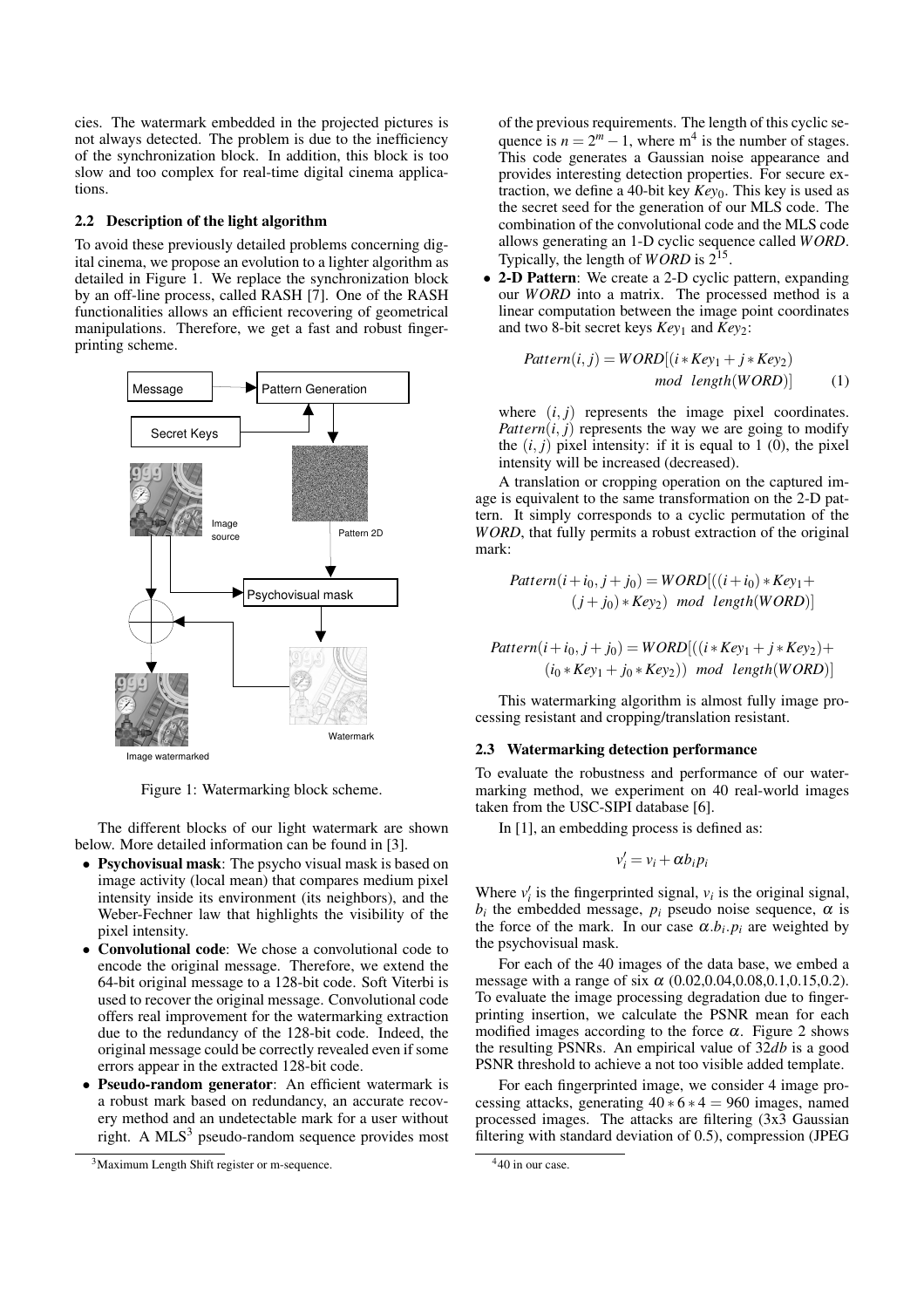cies. The watermark embedded in the projected pictures is not always detected. The problem is due to the inefficiency of the synchronization block. In addition, this block is too slow and too complex for real-time digital cinema applications.

# **2.2 Description of the light algorithm**

To avoid these previously detailed problems concerning digital cinema, we propose an evolution to a lighter algorithm as detailed in Figure 1. We replace the synchronization block by an off-line process, called RASH [7]. One of the RASH functionalities allows an efficient recovering of geometrical manipulations. Therefore, we get a fast and robust fingerprinting scheme.



Figure 1: Watermarking block scheme.

The different blocks of our light watermark are shown below. More detailed information can be found in [3].

- **Psychovisual mask**: The psycho visual mask is based on image activity (local mean) that compares medium pixel intensity inside its environment (its neighbors), and the Weber-Fechner law that highlights the visibility of the pixel intensity.
- **Convolutional code**: We chose a convolutional code to encode the original message. Therefore, we extend the 64-bit original message to a 128-bit code. Soft Viterbi is used to recover the original message. Convolutional code offers real improvement for the watermarking extraction due to the redundancy of the 128-bit code. Indeed, the original message could be correctly revealed even if some errors appear in the extracted 128-bit code.
- **Pseudo-random generator**: An efficient watermark is a robust mark based on redundancy, an accurate recovery method and an undetectable mark for a user without right. A  $MLS<sup>3</sup>$  pseudo-random sequence provides most

of the previous requirements. The length of this cyclic sequence is  $n = 2^m - 1$ , where m<sup>4</sup> is the number of stages. This code generates a Gaussian noise appearance and provides interesting detection properties. For secure extraction, we define a 40-bit key *Key*0. This key is used as the secret seed for the generation of our MLS code. The combination of the convolutional code and the MLS code allows generating an 1-D cyclic sequence called *WORD*. Typically, the length of *WORD* is  $2^{15}$ .

• **2-D Pattern**: We create a 2-D cyclic pattern, expanding our *WORD* into a matrix. The processed method is a linear computation between the image point coordinates and two 8-bit secret keys *Key*<sup>1</sup> and *Key*2:

$$
Pattern(i, j) = WORD[(i * Key_1 + j * Key_2) \nmod length(WORD)]
$$
\n(1)

where  $(i, j)$  represents the image pixel coordinates. *Pattern* $(i, j)$  represents the way we are going to modify the  $(i, j)$  pixel intensity: if it is equal to 1 (0), the pixel intensity will be increased (decreased).

A translation or cropping operation on the captured image is equivalent to the same transformation on the 2-D pattern. It simply corresponds to a cyclic permutation of the *WORD*, that fully permits a robust extraction of the original mark:

$$
Pattern(i + i_0, j + j_0) = WORD[((i + i_0) * Key_1 + (j + j_0) * Key_2) \mod length(WORD)]
$$

$$
Pattern(i + i0, j + j0) = WORD[((i * Key1 + j * Key2) +
$$
  
(i<sub>0</sub> \* Key<sub>1</sub> + j<sub>0</sub> \* Key<sub>2</sub>)) mod length(WORD)]

This watermarking algorithm is almost fully image processing resistant and cropping/translation resistant.

#### **2.3 Watermarking detection performance**

To evaluate the robustness and performance of our watermarking method, we experiment on 40 real-world images taken from the USC-SIPI database [6].

In [1], an embedding process is defined as:

$$
v_i' = v_i + \alpha b_i p_i
$$

Where  $v_i'$  $\mathbf{v}_i$  is the fingerprinted signal,  $\mathbf{v}_i$  is the original signal,  $b_i$  the embedded message,  $p_i$  pseudo noise sequence,  $\alpha$  is the force of the mark. In our case  $\alpha.b_i.p_i$  are weighted by the psychovisual mask.

For each of the 40 images of the data base, we embed a message with a range of six  $\alpha$  (0.02,0.04,0.08,0.1,0.15,0.2). To evaluate the image processing degradation due to fingerprinting insertion, we calculate the PSNR mean for each modified images according to the force  $\alpha$ . Figure 2 shows the resulting PSNRs. An empirical value of 32*db* is a good PSNR threshold to achieve a not too visible added template.

For each fingerprinted image, we consider 4 image processing attacks, generating  $40 * 6 * 4 = 960$  images, named processed images. The attacks are filtering (3x3 Gaussian filtering with standard deviation of 0.5), compression (JPEG

<sup>&</sup>lt;sup>3</sup>Maximum Length Shift register or m-sequence.

<sup>4</sup>40 in our case.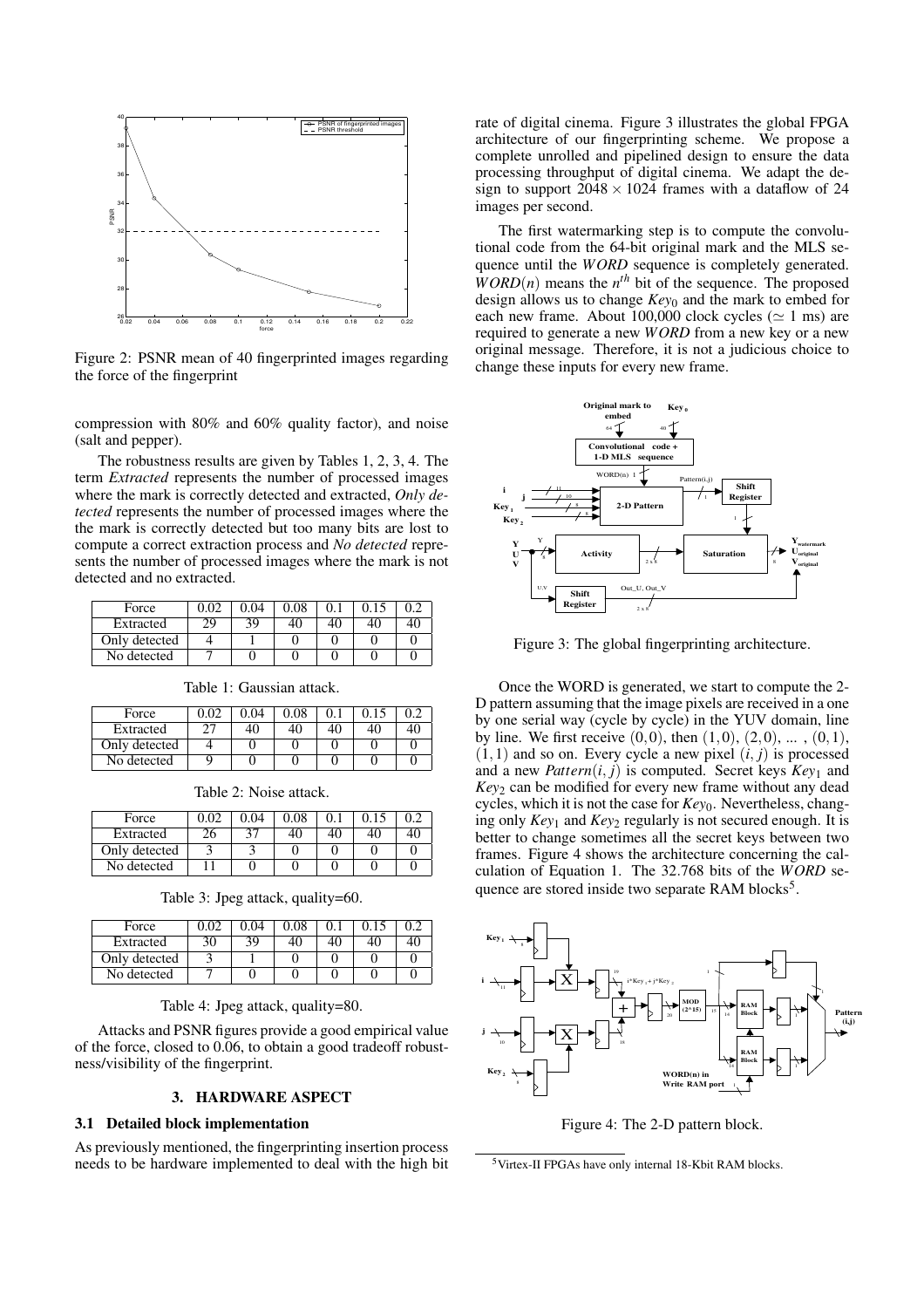

Figure 2: PSNR mean of 40 fingerprinted images regarding the force of the fingerprint

compression with 80% and 60% quality factor), and noise (salt and pepper).

The robustness results are given by Tables 1, 2, 3, 4. The term *Extracted* represents the number of processed images where the mark is correctly detected and extracted, *Only detected* represents the number of processed images where the the mark is correctly detected but too many bits are lost to compute a correct extraction process and *No detected* represents the number of processed images where the mark is not detected and no extracted.

| Force         |    |    | ).08 |  |  |
|---------------|----|----|------|--|--|
| Extracted     | 29 | 39 |      |  |  |
| Only detected |    |    |      |  |  |
| No detected   |    |    |      |  |  |

| Force         |  | 0.08 |  |  |
|---------------|--|------|--|--|
| Extracted     |  |      |  |  |
| Only detected |  |      |  |  |
| No detected   |  |      |  |  |

Table 1: Gaussian attack.

Table 2: Noise attack.

| Force         |    | .04 | 0.08 |  |  |
|---------------|----|-----|------|--|--|
| Extracted     | 2h |     |      |  |  |
| Only detected |    |     |      |  |  |
| No detected   |    |     |      |  |  |

Table 3: Jpeg attack, quality=60.

| Force         |    |     | $0.08\,$ |  |  |
|---------------|----|-----|----------|--|--|
| Extracted     | 30 | 39. |          |  |  |
| Only detected |    |     |          |  |  |
| No detected   |    |     |          |  |  |

Table 4: Jpeg attack, quality=80.

Attacks and PSNR figures provide a good empirical value of the force, closed to 0.06, to obtain a good tradeoff robustness/visibility of the fingerprint.

# **3. HARDWARE ASPECT**

#### **3.1 Detailed block implementation**

As previously mentioned, the fingerprinting insertion process needs to be hardware implemented to deal with the high bit rate of digital cinema. Figure 3 illustrates the global FPGA architecture of our fingerprinting scheme. We propose a complete unrolled and pipelined design to ensure the data processing throughput of digital cinema. We adapt the design to support  $2048 \times 1024$  frames with a dataflow of 24 images per second.

The first watermarking step is to compute the convolutional code from the 64-bit original mark and the MLS sequence until the *WORD* sequence is completely generated.  $WORD(n)$  means the  $n<sup>th</sup>$  bit of the sequence. The proposed design allows us to change *Key*<sup>0</sup> and the mark to embed for each new frame. About 100,000 clock cycles ( $\simeq$  1 ms) are required to generate a new *WORD* from a new key or a new original message. Therefore, it is not a judicious choice to change these inputs for every new frame.



Figure 3: The global fingerprinting architecture.

Once the WORD is generated, we start to compute the 2- D pattern assuming that the image pixels are received in a one by one serial way (cycle by cycle) in the YUV domain, line by line. We first receive  $(0,0)$ , then  $(1,0)$ ,  $(2,0)$ , ...,  $(0,1)$ ,  $(1,1)$  and so on. Every cycle a new pixel  $(i, j)$  is processed and a new *Pattern* $(i, j)$  is computed. Secret keys  $Key_1$  and *Key*<sup>2</sup> can be modified for every new frame without any dead cycles, which it is not the case for *Key*0. Nevertheless, changing only *Key*<sup>1</sup> and *Key*<sup>2</sup> regularly is not secured enough. It is better to change sometimes all the secret keys between two frames. Figure 4 shows the architecture concerning the calculation of Equation 1. The 32.768 bits of the *WORD* sequence are stored inside two separate RAM blocks<sup>5</sup>.



Figure 4: The 2-D pattern block.

<sup>5</sup>Virtex-II FPGAs have only internal 18-Kbit RAM blocks.